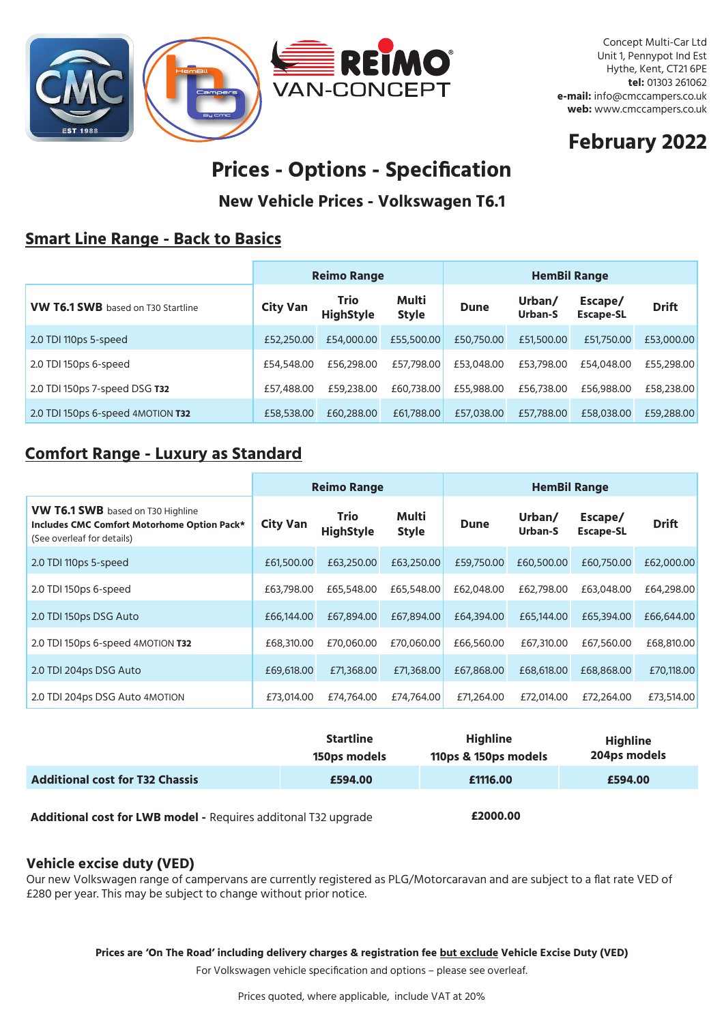

Concept Multi-Car Ltd Unit 1, Pennypot Ind Est Hythe, Kent, CT21 6PE **tel:** 01303 261062 **e-mail:** info@cmccampers.co.uk **web:** www.cmccampers.co.uk

# **February 2022**

# **Prices - Options - Specification**

**New Vehicle Prices - Volkswagen T6.1**

### **Smart Line Range - Back to Basics**

|                                           | <b>Reimo Range</b> |                                 |                       |             | <b>HemBil Range</b>      |                             |              |  |
|-------------------------------------------|--------------------|---------------------------------|-----------------------|-------------|--------------------------|-----------------------------|--------------|--|
| <b>VW T6.1 SWB</b> based on T30 Startline | <b>City Van</b>    | <b>Trio</b><br><b>HighStyle</b> | Multi<br><b>Style</b> | <b>Dune</b> | Urban/<br><b>Urban-S</b> | Escape/<br><b>Escape-SL</b> | <b>Drift</b> |  |
| 2.0 TDI 110ps 5-speed                     | £52,250.00         | £54,000.00                      | £55,500.00            | £50,750,00  | £51,500.00               | £51,750.00                  | £53,000.00   |  |
| 2.0 TDI 150ps 6-speed                     | £54,548.00         | £56,298.00                      | £57,798.00            | £53,048.00  | £53,798.00               | £54,048,00                  | £55,298.00   |  |
| 2.0 TDI 150ps 7-speed DSG T32             | £57,488.00         | £59,238.00                      | £60,738.00            | £55,988.00  | £56,738.00               | £56,988,00                  | £58,238.00   |  |
| 2.0 TDI 150ps 6-speed 4MOTION T32         | £58,538.00         | £60,288.00                      | £61,788.00            | £57,038,00  | £57,788.00               | £58,038,00                  | £59,288.00   |  |

### **Comfort Range - Luxury as Standard**

|                                                                                                                       | <b>Reimo Range</b> |                          |                       | <b>HemBil Range</b> |                   |                             |              |
|-----------------------------------------------------------------------------------------------------------------------|--------------------|--------------------------|-----------------------|---------------------|-------------------|-----------------------------|--------------|
| <b>VW T6.1 SWB</b> based on T30 Highline<br>Includes CMC Comfort Motorhome Option Pack*<br>(See overleaf for details) | <b>City Van</b>    | Trio<br><b>HighStyle</b> | Multi<br><b>Style</b> | <b>Dune</b>         | Urban/<br>Urban-S | Escape/<br><b>Escape-SL</b> | <b>Drift</b> |
| 2.0 TDI 110ps 5-speed                                                                                                 | £61,500.00         | £63,250.00               | £63,250.00            | £59,750.00          | £60,500.00        | £60,750,00                  | £62,000.00   |
| 2.0 TDI 150ps 6-speed                                                                                                 | £63,798,00         | £65,548,00               | £65,548,00            | £62,048,00          | £62,798,00        | £63,048,00                  | £64,298,00   |
| 2.0 TDI 150ps DSG Auto                                                                                                | £66,144,00         | £67,894,00               | £67,894.00            | £64,394,00          | £65,144,00        | £65,394.00                  | £66,644.00   |
| 2.0 TDI 150ps 6-speed 4MOTION T32                                                                                     | £68,310,00         | £70,060.00               | £70,060.00            | £66,560.00          | £67,310,00        | £67,560.00                  | £68,810.00   |
| 2.0 TDI 204ps DSG Auto                                                                                                | £69,618.00         | £71,368.00               | £71,368.00            | £67,868.00          | £68,618.00        | £68,868.00                  | £70,118.00   |
| 2.0 TDI 204ps DSG Auto 4MOTION                                                                                        | £73,014.00         | £74,764.00               | £74,764.00            | £71,264.00          | £72,014.00        | £72,264.00                  | £73,514.00   |

|                                        | <b>Startline</b> | <b>Highline</b>      | <b>Highline</b> |
|----------------------------------------|------------------|----------------------|-----------------|
|                                        | 150ps models     | 110ps & 150ps models | 204ps models    |
| <b>Additional cost for T32 Chassis</b> | £594.00          | £1116.00             | £594.00         |

**Additional cost for LWB model -** Requires additonal T32 upgrade **£2000.00**

#### **Vehicle excise duty (VED)**

Our new Volkswagen range of campervans are currently registered as PLG/Motorcaravan and are subject to a flat rate VED of £280 per year. This may be subject to change without prior notice.

**Prices are 'On The Road' including delivery charges & registration fee but exclude Vehicle Excise Duty (VED)** 

For Volkswagen vehicle specification and options – please see overleaf.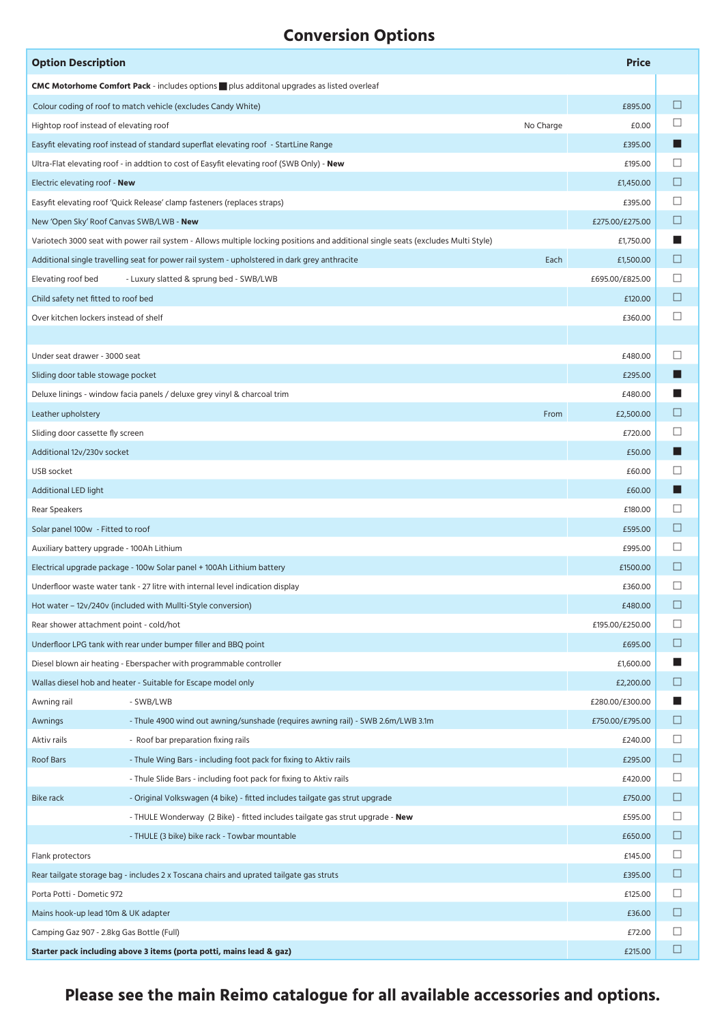## **Conversion Options**

| <b>Option Description</b>                                                               |                                                                                                                                   |           | <b>Price</b>    |        |
|-----------------------------------------------------------------------------------------|-----------------------------------------------------------------------------------------------------------------------------------|-----------|-----------------|--------|
|                                                                                         | <b>CMC Motorhome Comfort Pack</b> - includes options plus additonal upgrades as listed overleaf                                   |           |                 |        |
|                                                                                         | Colour coding of roof to match vehicle (excludes Candy White)                                                                     |           | £895.00         | $\Box$ |
| Hightop roof instead of elevating roof                                                  |                                                                                                                                   | No Charge | £0.00           | □      |
|                                                                                         | Easyfit elevating roof instead of standard superflat elevating roof - StartLine Range                                             |           | £395.00         |        |
|                                                                                         | Ultra-Flat elevating roof - in addtion to cost of Easyfit elevating roof (SWB Only) - New                                         |           | £195.00         | □      |
| Electric elevating roof - New                                                           |                                                                                                                                   |           | £1,450.00       | $\Box$ |
|                                                                                         | Easyfit elevating roof 'Quick Release' clamp fasteners (replaces straps)                                                          |           | £395.00         | ⊔      |
| New 'Open Sky' Roof Canvas SWB/LWB - New                                                |                                                                                                                                   |           | £275.00/£275.00 | □      |
|                                                                                         | Variotech 3000 seat with power rail system - Allows multiple locking positions and additional single seats (excludes Multi Style) |           | £1,750.00       | w      |
|                                                                                         | Additional single travelling seat for power rail system - upholstered in dark grey anthracite                                     | Each      | £1,500.00       | □      |
| Elevating roof bed                                                                      | - Luxury slatted & sprung bed - SWB/LWB                                                                                           |           | £695.00/£825.00 | ப      |
| Child safety net fitted to roof bed                                                     |                                                                                                                                   |           | £120.00         | □      |
| Over kitchen lockers instead of shelf                                                   |                                                                                                                                   |           | £360.00         | $\Box$ |
|                                                                                         |                                                                                                                                   |           |                 |        |
| Under seat drawer - 3000 seat                                                           |                                                                                                                                   |           | £480.00         | ப      |
| Sliding door table stowage pocket                                                       |                                                                                                                                   |           | £295.00         |        |
|                                                                                         | Deluxe linings - window facia panels / deluxe grey vinyl & charcoal trim                                                          |           | £480.00         |        |
| Leather upholstery                                                                      |                                                                                                                                   | From      | £2,500.00       | ⊔      |
| Sliding door cassette fly screen                                                        |                                                                                                                                   |           | £720.00         | □      |
| Additional 12v/230v socket                                                              |                                                                                                                                   |           | £50.00          |        |
| USB socket                                                                              |                                                                                                                                   |           | £60.00          | □      |
| Additional LED light                                                                    |                                                                                                                                   |           | £60.00          | H      |
| Rear Speakers                                                                           |                                                                                                                                   |           | £180.00         | $\Box$ |
| Solar panel 100w - Fitted to roof                                                       |                                                                                                                                   |           | £595.00         | $\Box$ |
| Auxiliary battery upgrade - 100Ah Lithium                                               |                                                                                                                                   |           | £995.00         | ப      |
| Electrical upgrade package - 100w Solar panel + 100Ah Lithium battery                   |                                                                                                                                   |           |                 | Ш      |
|                                                                                         | Underfloor waste water tank - 27 litre with internal level indication display                                                     |           | £360.00         | □      |
|                                                                                         | Hot water - 12v/240v (included with Mullti-Style conversion)                                                                      |           | £480.00         | □      |
| Rear shower attachment point - cold/hot                                                 |                                                                                                                                   |           | £195.00/£250.00 | □      |
|                                                                                         | Underfloor LPG tank with rear under bumper filler and BBQ point                                                                   |           | £695.00         | $\Box$ |
|                                                                                         | Diesel blown air heating - Eberspacher with programmable controller                                                               |           | £1,600.00       | a k    |
|                                                                                         | Wallas diesel hob and heater - Suitable for Escape model only                                                                     |           | £2,200.00       | $\Box$ |
| Awning rail                                                                             | - SWB/LWB                                                                                                                         |           | £280.00/£300.00 | ■      |
| Awnings                                                                                 | - Thule 4900 wind out awning/sunshade (requires awning rail) - SWB 2.6m/LWB 3.1m                                                  |           | £750.00/£795.00 | $\Box$ |
| Aktiv rails                                                                             | - Roof bar preparation fixing rails                                                                                               |           | £240.00         | $\Box$ |
| Roof Bars                                                                               | - Thule Wing Bars - including foot pack for fixing to Aktiv rails                                                                 |           | £295.00         | □      |
|                                                                                         | - Thule Slide Bars - including foot pack for fixing to Aktiv rails                                                                |           | £420.00         | $\Box$ |
| <b>Bike rack</b>                                                                        | - Original Volkswagen (4 bike) - fitted includes tailgate gas strut upgrade                                                       |           | £750.00         | $\Box$ |
|                                                                                         | - THULE Wonderway (2 Bike) - fitted includes tailgate gas strut upgrade - <b>New</b>                                              |           | £595.00         | $\Box$ |
|                                                                                         | - THULE (3 bike) bike rack - Towbar mountable                                                                                     |           | £650.00         | □      |
| Flank protectors                                                                        |                                                                                                                                   |           | £145.00         | $\Box$ |
| Rear tailgate storage bag - includes 2 x Toscana chairs and uprated tailgate gas struts |                                                                                                                                   |           | £395.00         | $\Box$ |
| Porta Potti - Dometic 972                                                               |                                                                                                                                   |           | £125.00         | $\Box$ |
| Mains hook-up lead 10m & UK adapter                                                     |                                                                                                                                   |           | £36.00          | □      |
| Camping Gaz 907 - 2.8kg Gas Bottle (Full)                                               |                                                                                                                                   |           | £72.00          | $\Box$ |
|                                                                                         | Starter pack including above 3 items (porta potti, mains lead & gaz)                                                              |           | £215.00         | $\Box$ |

**Please see the main Reimo catalogue for all available accessories and options.**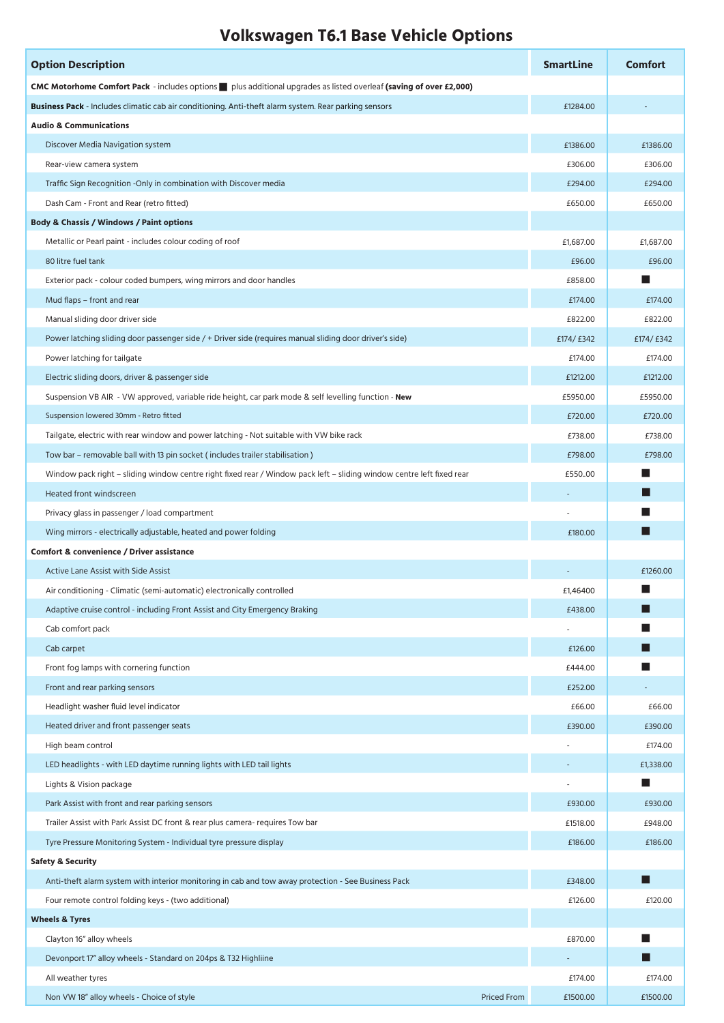## **Volkswagen T6.1 Base Vehicle Options**

| <b>Option Description</b>                                                                                             | <b>SmartLine</b> | <b>Comfort</b> |
|-----------------------------------------------------------------------------------------------------------------------|------------------|----------------|
| CMC Motorhome Comfort Pack - includes options plus additional upgrades as listed overleaf (saving of over £2,000)     |                  |                |
| Business Pack - Includes climatic cab air conditioning. Anti-theft alarm system. Rear parking sensors                 | £1284.00         |                |
| <b>Audio &amp; Communications</b>                                                                                     |                  |                |
| Discover Media Navigation system                                                                                      | £1386.00         | £1386.00       |
| Rear-view camera system                                                                                               | £306.00          | £306.00        |
| Traffic Sign Recognition - Only in combination with Discover media                                                    | £294.00          | £294.00        |
| Dash Cam - Front and Rear (retro fitted)                                                                              | £650.00          | £650.00        |
| <b>Body &amp; Chassis / Windows / Paint options</b>                                                                   |                  |                |
| Metallic or Pearl paint - includes colour coding of roof                                                              | £1,687.00        | £1,687.00      |
| 80 litre fuel tank                                                                                                    | £96.00           | £96.00         |
| Exterior pack - colour coded bumpers, wing mirrors and door handles                                                   | £858.00          | w              |
| Mud flaps – front and rear                                                                                            | £174.00          | £174.00        |
| Manual sliding door driver side                                                                                       | £822.00          | £822.00        |
| Power latching sliding door passenger side / + Driver side (requires manual sliding door driver's side)               | £174/ £342       | £174/ £342     |
| Power latching for tailgate                                                                                           | £174.00          | £174.00        |
| Electric sliding doors, driver & passenger side                                                                       | £1212.00         | £1212.00       |
| Suspension VB AIR - VW approved, variable ride height, car park mode & self levelling function - New                  | £5950.00         | £5950.00       |
| Suspension lowered 30mm - Retro fitted                                                                                | £720.00          | £720.00        |
| Tailgate, electric with rear window and power latching - Not suitable with VW bike rack                               | £738.00          | £738.00        |
| Tow bar – removable ball with 13 pin socket (includes trailer stabilisation)                                          | £798.00          | £798.00        |
| Window pack right - sliding window centre right fixed rear / Window pack left - sliding window centre left fixed rear | £55000           | ш              |
| Heated front windscreen                                                                                               |                  | H              |
| Privacy glass in passenger / load compartment                                                                         |                  | <b>STEP</b>    |
| Wing mirrors - electrically adjustable, heated and power folding                                                      | £180.00          | ш              |
| Comfort & convenience / Driver assistance                                                                             |                  |                |
| <b>Active Lane Assist with Side Assist</b>                                                                            |                  | £1260.00       |
| Air conditioning - Climatic (semi-automatic) electronically controlled                                                | £1,46400         |                |
| Adaptive cruise control - including Front Assist and City Emergency Braking                                           | £438.00          |                |
| Cab comfort pack                                                                                                      |                  | <b>STEP</b>    |
| Cab carpet                                                                                                            | £126.00          |                |
| Front fog lamps with cornering function                                                                               | £444.00          | ш              |
| Front and rear parking sensors                                                                                        | £252.00          |                |
| Headlight washer fluid level indicator                                                                                | £66.00           | £66.00         |
| Heated driver and front passenger seats                                                                               | £390.00          | £390.00        |
| High beam control                                                                                                     |                  | £174.00        |
| LED headlights - with LED daytime running lights with LED tail lights                                                 |                  | £1,338.00      |
| Lights & Vision package                                                                                               |                  | ш              |
| Park Assist with front and rear parking sensors                                                                       | £930.00          | £930.00        |
| Trailer Assist with Park Assist DC front & rear plus camera- requires Tow bar                                         | £1518.00         | £948.00        |
| Tyre Pressure Monitoring System - Individual tyre pressure display                                                    | £186.00          | £186.00        |
| <b>Safety &amp; Security</b>                                                                                          |                  |                |
| Anti-theft alarm system with interior monitoring in cab and tow away protection - See Business Pack                   | £348.00          | ш              |
| Four remote control folding keys - (two additional)                                                                   | £126.00          | £120.00        |
| <b>Wheels &amp; Tyres</b>                                                                                             |                  |                |
| Clayton 16" alloy wheels                                                                                              | £870.00          | ш              |
| Devonport 17" alloy wheels - Standard on 204ps & T32 Highliine                                                        |                  | ш              |
| All weather tyres                                                                                                     | £174.00          | £174.00        |
| Non VW 18" alloy wheels - Choice of style<br><b>Priced From</b>                                                       | £1500.00         | £1500.00       |